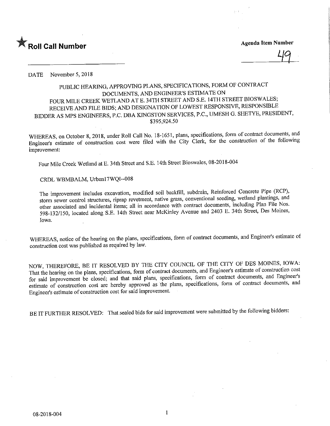

DATE November 5, 2018

## PUBLIC HEARING, APPROVING PLANS, SPECIFICATIONS, FORM OF CONTRACT DOCUMENTS, AND ENGINEER'S ESTIMATE ON FOUR MILE CREEK WETLAND AT E. 34TH STREET AND S.E. 14TH STREET BIOSWALES; RECEIVE AND FILE BIDS; AND DESIGNATION OF LOWEST RESPONSIVE, RESPONSIBLE BIDDER AS MPS ENGINEERS, P.C. DBA KINGSTON SERVICES, P.C., UMESH G. SHETYE, PRESIDENT, \$395,924.50

WHEREAS, on October 8, 2018, under Roll Call No. 18-1651, plans, specifications, form of contract documents, and Engineer's estimate of construction cost were filed with the City Clerk, for the construction of the following improvement:

Four Mile Creek Wetland at E. 34th Street and S.E. 14th Street Bioswales, 08-2018-004

CRDL WBMBALM, Urbanl7WQI-008

The improvement includes excavation, modified soil backfill, subdrain. Reinforced Concrete Pipe (RCP), storm sewer control structures, riprap revetment, native grass, conventional seeding, wetland plantings, and other associated and incidental items; all in accordance with contract documents, including Plan File Nos. 598-132/150, located along S.E. 14th Street near McKinley Avenue and 2403 E. 34th Street, Des Moines, Iowa.

WHEREAS, notice of the hearing on the plans, specifications, form of contract documents, and Engineer's estimate of construction cost was published as required by law.

NOW, THEREFORE, BE IT RESOLVED BY THE CITY COUNCIL OF THE CITY OF DES MOINES, IOWA: That the hearing on the plans, specifications, form of contract documents, and Engineer's estimate of construction cost for said improvement be closed; and that said plans, specifications, form of contract documents, and Engineer's estimate of construction cost are hereby approved as the plans, specifications, form of contract documents, and Engineer's estimate of construction cost for said improvement.

BE IT FURTHER RESOLVED: That sealed bids for said improvement were submitted by the following bidders: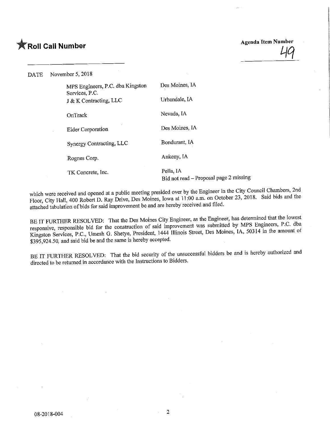## **Agenda Item Number Agenda Item Number** Agenda Item Number

DATE November 5, 2018

| MPS Engineers, P.C. dba Kingston<br>Services, P.C. | Des Moines, IA                                      |
|----------------------------------------------------|-----------------------------------------------------|
| J & K Contracting, LLC                             | Urbandale, IA                                       |
| OnTrack                                            | Nevada, IA                                          |
| <b>Elder Corporation</b>                           | Des Moines, IA                                      |
| Synergy Contracting, LLC                           | Bondurant, IA                                       |
| Rognes Corp.                                       | Ankeny, IA                                          |
| TK Concrete, Inc.                                  | Pella, IA<br>Bid not read – Proposal page 2 missing |

which were received and opened at a public meeting presided over by the  $\frac{20}{100}$  cm.  $\frac{20}{100}$  Cataber 22, 2018. Said bids and the  $\frac{1}{2}$ loor, City Hall, 400 Robert D. Ray Drive, Des Moines, Iowa at 11:00 a.m. on October 23, 2018. Said bids and the said bids and the said bids and the said bids and the said bids and the said bids and the said bids attached tabulation of bids for said improvement be and are hereby received and filed.

BE IT FURTHER RESOLVED: That the Des Moines City Engineer, as the Engineer, has determined that the lowest responsive, responsible bid for the construction of said improvement was submitted by MPS Engineers, P.C. dba esponsive, responsible bid for the construction of said improvement was submitted by  $\frac{1}{2}$   $\frac{1}{2}$   $\frac{1}{2}$   $\frac{1}{2}$   $\frac{1}{2}$   $\frac{1}{2}$   $\frac{1}{2}$   $\frac{1}{2}$   $\frac{1}{2}$   $\frac{1}{2}$   $\frac{1}{2}$   $\frac{1}{2}$   $\frac{1}{2}$   $\frac{1}{$ Kingston Services, P.C., Umesh G. Shetye, President, 1444 Illinois Street, Des Montes, I.S., 50314 in the amount of \$395,924.50, and said bid be and the same is hereby accepted.

BE IT FURTHER RESOLVED: That the bid security of the unsuccessful bidders be and is hereby authorized and directed to be returned in accordance with the Instructions to Bidders.

 $\overline{2}$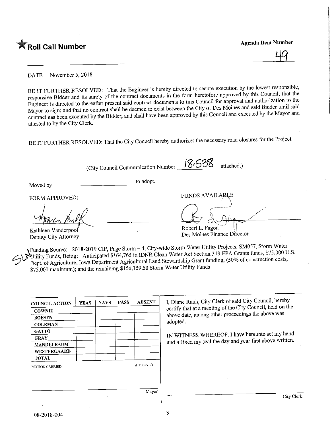

DATE November 5, 2018

BE IT FURTHER RESOLVED: That the Engineer is hereby directed to secure execution by the lowest responsible, responsive Bidder and its surety of the contract documents in the form heretofore approved by this Council; that t Engineer is directed to thereafter present said contract documents to this Council for approval and authorization to the Mayor to sign; and that no contract shall be deemed to exist between the City of Des Moines and said Bidder until said ayor to sign; and that no contract shall be deemed to exist between the change  $\alpha$  and speculed by the Mayor and ntract has been executed by the Bidder, and shall have been approved by this Council and executed by  $\frac{1}{2}$ attested to by the City Clerk.

BE IT FURTHER RESOLVED: That the City Council hereby authorizes the necessary road closures for the Project.

Moved by \_\_\_\_\_\_ City Council Communication Number  $\frac{18.538}{8}$  attached.) to adopt. FORM APPROVED: FUNDS AVAILABLE  $\bigcup \frac{1}{2} \bigwedge$ 7<del>17 / W</del>A Kathleen Vanderpool Deputy City Attorney ODEIT L. Fagen<br>Nee Meines Finance Dir  $\log$  Moines  $\epsilon$  matrix  $\epsilon$  =  $\epsilon$ 

Funding Source: 2018-2019 CIP, Page Storm - 4, City-wide Storm Water Utility Projects, SM057, Storm Water<br>Utility Funds, Being: Anticipated \$164,765 in IDNR Clean Water Act Section 319 EPA Grants funds, \$75,000 U.S.  $\bullet$ Utility Funds, Being; Anticipated  $\frac{1}{2}$ 164,765 in IDNR Clean Water Act Section 319 EPA Grants funding  $\frac{1}{2}$ 6000 of construction sosts Dept. of Agriculture, Iowa Department Agricultural Land Stewardship Grant funding, (50% of construction construction construction construction construction construction construction construction construction construction c \$75,000 maximum); and the remaining \$156,159.50 Storm Water Utility Funds

| <b>COUNCIL ACTION</b> | <b>YEAS</b> | <b>NAYS</b> | <b>PASS</b> | <b>ABSENT</b>   |
|-----------------------|-------------|-------------|-------------|-----------------|
| <b>COWNIE</b>         |             |             |             |                 |
| <b>BOESEN</b>         |             |             |             |                 |
| <b>COLEMAN</b>        |             |             |             |                 |
| <b>GATTO</b>          |             |             |             |                 |
| <b>GRAY</b>           |             |             |             |                 |
| <b>MANDELBAUM</b>     |             |             |             |                 |
| WESTERGAARD           |             |             |             |                 |
| <b>TOTAL</b>          |             |             |             |                 |
| <b>MOTION CARRIED</b> |             |             |             | <b>APPROVED</b> |
|                       |             |             |             | Mayor           |

I, Diane Rauh, City Clerk of said City Council, hereby<br>certify that at a meeting of the City Council, held on the certify that at a meeting of the City  $\sim$  $\mu$ ove date, among other proceedings the above  $\mu$ adopted.

 $\frac{1}{100}$  WITHEREOF, I have the set of  $\frac{1}{1000}$  written and affixed my seal the day and year first above written.

City Clerk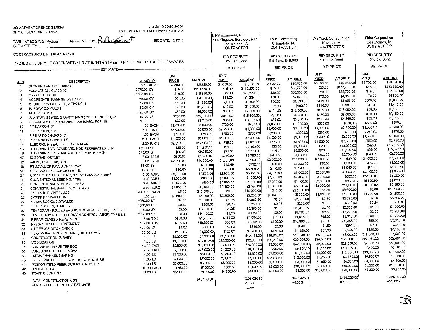## DEPARTMENT OF ENGINEERINGCITY OF DES M01NES. IOWA

S DEPT AG PROJ NO.: Urban17WQ!-008

TABULATED SY: B. Rydberg

APPROVED BY  $\beta \Omega$ 

hvod T BID DATE: 10/23/18

CHECKED BY:

## CONTRACTOR'S BID TABULATION

TLAND AT E. 34TH STREET AND S.E. 14TH STREET BIOSWALES

| RUJEUT, FUUR WILL URLER WETENNOAME. OM H<br>-ESTIMATE-- |                                                   |                  |              |               | <b>BID PRICE</b> |              | <b>BID PRICE</b> |               | <b>BID PRICE</b> |              | <b>BID PRICE</b> |                           |
|---------------------------------------------------------|---------------------------------------------------|------------------|--------------|---------------|------------------|--------------|------------------|---------------|------------------|--------------|------------------|---------------------------|
|                                                         |                                                   |                  | <b>UNIT</b>  |               | UNIT             |              | <b>UNIT</b>      |               | <b>UNIT</b>      |              | UNIT             |                           |
| <b>ITEM</b>                                             | <b>DESCRIPTION</b>                                | QUANTITY         | <b>PRICE</b> | <b>AMOUNT</b> | PRICE            | AMOUNT       | <b>PRICE</b>     | <b>AMOUNT</b> | <b>PRICE</b>     | AMOUNT       | <b>PRICE</b>     | <b>AMOUNT</b>             |
| $\mathbf{1}$                                            | CLEARING AND GRUBBING                             | 2.10 ACRE        | \$2,500.00   | \$5,250.00    | \$4,650.00       | \$9,765.00   | \$5,000.00       | \$10,500.00   | \$5,150.00       | \$10,815.00  | \$8,700.00       | \$18,270.00               |
| $\overline{2}$                                          | EXCAVATION, CLASS 10                              | 7370.00 CY       | \$15.00      | \$110,550.00  | \$15.00          | \$110,550.00 | \$10.00          | \$73,700.00   | \$20.00          | \$147,400.00 | \$18.00          | \$132,660.00              |
| 3                                                       | ON-SITE TOPSOIL                                   | 1685.00 CY       | \$10.00      | \$16,850.00   | \$12.00          | \$20,220.00  | \$30.00          | \$50,550.00   | \$20.00          | \$33,700.00  | \$19.00          | \$32,015.00               |
| Δ                                                       | AGGREGATE SUBBASE, ASTM D-57                      | 66.00 CY         | \$65.00      | \$4,290.00    | \$64.00          | \$4,224.00   | \$70.00          | \$4,620.00    | \$75.00          | \$4,950.00   | \$70.00          | \$4,620.00                |
| 5                                                       | CHOKER AGGREGATED, ASTM NO. 8                     | 17.00 CY         | \$80.00      | \$1,360.00    | \$86,00          | \$1,462.00   | \$90.00          | \$1,530.00    | \$115.00         | \$1,955,00   | \$180.00         | \$3,060.00<br>\$1,410.00  |
| 6                                                       | HARDWOOD MULCH                                    | 30,00 CY         | \$90.00      | \$2,700.00    | \$45.00          | \$1,350.00   | \$20.00          | \$600.00      | \$110.00         | \$3,300,00   | \$47.00          |                           |
| $\overline{7}$                                          | MODIFIED SOIL                                     | 120.00 °CY       | \$50.00      | \$6,000,00    | \$65.00          | \$7,800,00   | \$100.00         | \$12,000,00   | \$150.00         | \$18,000.00  | \$68,00          | \$8,160.00                |
| 8                                                       | SANITARY SEWER, GRAVITY MAIN (DIP), TRENCHED, 6"  | 50.00 LF         | \$250.00     | \$12,500.00   | \$312.00         | \$15,600.00  | \$85,00          | \$4,250.00    | \$180.00         | \$9,000,00   | \$183.00         | \$9,150.00                |
| 9                                                       | STORM SEWER, TRENCHED, TRENCHED, RCP, 18"         | 38.00 LF         | \$80.00      | \$3,040.00    | \$84.00          | \$3,192.00   | \$95.00          | \$3,610.00    | \$120.00         | \$4,560.00   | \$82,00          | \$3,116.00                |
| 10                                                      | PIPE APRON, 6"                                    | 1.00 EACH        | \$1,500.00   | \$1,500.00    | \$700.00         | \$700.00     | \$1,000.00       | \$1,000.00    | \$500.00         | \$500,00     | \$500.00         | \$500.00                  |
|                                                         | PIPE APRON, 18"                                   | 2.00 EACH        | \$3,000.00   | \$6,000.00    | \$2,150.00       | \$4,300.00   | \$1,500.00       | \$3,000.00    | \$1,800.00       | \$3,600,00   | \$1,550.00       | \$3,100.00                |
| 11                                                      | PIPE APRON GUARD, 6"                              | <b>1.00 EACH</b> | \$750.00     | \$750,00      | \$750.00         | \$750.00     | \$200.00         | \$200.00      | \$250.00         | \$250.00     | \$270.00         | \$270.00                  |
| 12                                                      | PIPE APRON GUARD, 18"                             | 2.00 EACH        | \$1,000.00   | \$2,000.00    | \$1,000.00       | \$2,000.00   | \$1,500.00       | \$3,000.00    | \$1,000.00       | \$2,000.00   | \$1,550.00       | \$3,100.00                |
| 13                                                      | SUBDRAIN RISER, 6 IN., AS PER PLAN                | 5.00 EACH        | \$2,000.00   | \$10,000.00   | \$1,785.00       | \$8,925.00   | \$725.00         | \$3,625.00    | \$1,500,00       | \$7,500.00   | \$550.00         | \$2,750.00                |
| 14                                                      | SUBDRAIN, PVC, STANDARD, NON-PERFERATED, 6 IN.    | 450,00 LF        | \$25.00      | \$11,250,00   | \$21.00          | \$9,450.00   | \$20,00          | \$9,000.00    | \$29.00          | \$13,050.00  | \$42,00          | \$18,900.00               |
| 15                                                      | SUBDRAIN, PVC, STANDARD, PERFERATED, 6 IN.        | 370.00 LF        | \$25.00      | \$9,250.00    | \$21.00          | \$7,770.00   | \$15.00          | \$5,550.00    | \$30.00          | \$11,100.00  | \$36.00          | \$13,320.00               |
| 16                                                      |                                                   | 5.00 EACH        | \$250.00     | \$1,250.00    | \$350.00         | \$1,750.00   | \$200.00         | \$1,000.00    | \$500.00         | \$2,500.00   | \$540.00         | \$2,700.00                |
| 17<br>18                                                | SUBDRAIN OUTLET<br>VALVE, GATE, DIP, 6 IN.        | 5,00 EACH        | \$2,000.00   | \$10,000.00   | \$1,650.00       | \$8,250.00   | \$2,000.00       | \$10,000.00   | \$2,100.00       | \$10,500.00  | \$1,500.00       | \$7,500.00                |
| 19                                                      | REMOVAL OF PAVED DRIVEWAY                         | 66.00 SY         | \$15.00      | \$990.00      | \$12.00          | \$792.00     | \$50.00          | \$3,300,00    | \$30.00          | \$1,980.00   | \$70.00          | \$4,620.00                |
| 20                                                      | DRIVEWAY P.C. CONCRETE, 7 IN.                     | 66.00 SY         | \$80.00      | \$5,280.00    | \$56.00          | \$3,696.00   | \$140.00         | \$9,240.00    | \$90.00          | \$5,940.00   | \$85.00          | \$5,610.00                |
| 21                                                      | CONVENTIONAL SEEDING, NATIVE GRASS & FORBS        | 1,50 ACRE        | \$3,000.00   | \$4,500.00    | \$2,950.00       | \$4,425.00   | \$4,000.00       | \$6,000.00    | \$2,000,00       | \$3,000.00   | \$3,100.00       | \$4,650.00                |
| 22                                                      | CONVENTIONAL SEEDING, TYPE 1                      | 0.20 ACRE        | \$3,000.00   | \$600,00      | \$5,000.00       | \$1,000.00   | \$7,000.00       | \$1,400.00    | \$3,000.00       | \$600,00     | \$5,300.00       | \$1,060.00                |
| 23                                                      | CONVENTIONAL SEEDING, TYPE 2                      | 0.20 ACRE        | \$2,500.00   | \$500.00      | \$5,000.00       | \$1,000.00   | \$7,000.00       | \$1,400.00    | \$3,000.00       | \$600.00     | \$5,300.00       | \$1,060,00                |
| 24                                                      | CONVENTIONAL SEEDING, WETLAND                     | 0.60 ACRE        | \$4,000.00   | \$2,400.00    | \$3,450.00       | \$2,070.00   | \$5,000.00       | \$3,000.00    | \$3,000.00       | \$1,800.00   | \$3,600.00       | \$2,160.00                |
| 25                                                      | WETLAND PLANT PLUGS                               | 2000.00 EACH     | \$5.00       | \$10,000.00   | \$8,00           | \$16,000.00  | \$11,00          | \$22,000.00   | \$3.30           | \$6,600.00   | \$8.00           | \$16,000.00<br>\$4,200.00 |
| 26                                                      | SWPPP PREPARATION                                 | 1.00 LS          | \$5,000.00   | \$5,000.00    | \$2,200,00       | \$2,200.00   | \$5,000,00       | \$5,000.00    | \$1,000.00       | \$1,000.00   | \$4,200.00       | \$3,300.00                |
| 27                                                      | FILTER SOCKS, INSTALLED                           | 1650.00 LF       | \$4.00       | \$6,600.00    | \$1.25           | \$2,062.50   | \$2.00           | \$3,300.00    | \$2,30           | \$3,795.00   | \$2.00           | \$250.00                  |
| 28                                                      | FILTER SOCKS, REMOVAL                             | 1000,00 LF       | \$0,50       | \$500.00      | \$0.25           | \$250.00     | \$0.25           | \$250.00      | \$0,30           | \$300.00     | \$0.25           | \$1,000.00                |
| 29                                                      | TEMPORARY ROLLED EROSION CONTROL (RECP), TYPE 2.B | 1000.00 SY       | \$3.00       | \$3,000.00    | \$1.35           | \$1,350.00   | \$1.00           | \$1,000.00    | \$3.00           | \$3,000.00   | \$1,00           | \$5,760.00                |
| 30                                                      | TEMPORARY ROLLED EROSION CONTROL (RECP), TYPE 3.B | 2880,00 SY       | \$5,00       | \$14,400.00   | \$1.50           | \$4,320.00   | \$2.00           | \$5,760.00    | \$2,50           | \$7,200.00   | \$2.00           | \$1,700,00                |
| 31                                                      | RIPRAP, CLASS A REVETMENT                         | 17.00 TON        | \$100.00     | \$1,700.00    | \$112.00         | \$1,904.00   | \$95.00          | \$1,615.00    | \$95.00          | \$1,615.00   | \$100.00         | \$9,810.00                |
| 32 <sub>2</sub>                                         | RIPRAP, CLASS D REVETMENT                         | 109.00 TON       | \$100.00     | \$10,900.00   | \$88.00          | \$9,592,00   | \$100.00         | \$10,900.00   | \$95.00          | \$10,355.00  | \$90.00          | \$340.00                  |
| 33                                                      | SILT FENCE DITCH CHECK                            | 170.00 LF        | \$4.00       | \$680,00      | \$4,00           | \$680.00     | \$2,00           | \$340.00      | \$1.50           | \$255.00     | \$2.00           |                           |
| 34                                                      | TURF REIMFORCEMENT MAT (TRM), TYPE 3              | 33.00 SQ         | \$100.00     | \$3,300,00    | \$120.00         | \$3,960.00   | \$150.00         | \$4,950.00    | \$65.00          | \$2,145.00   | \$126.00         | \$4,158.00                |
| 35                                                      | CONSTRUCTION SURVEY                               | 1.00 LS          | \$8,000.00   | \$8,000.00    | \$10,165.00      | \$10,165,00  | \$16,640.00      | \$16,640.00   | \$8,000.00       | \$8,000.00   | \$17,500.00      | \$17,500.00               |
|                                                         | <b>MOBILIZATION</b>                               | 1.00 LS          | \$11,610.00  | \$11,610,00   | \$32,000.00      | \$32,000.00  | \$20,295.00      | \$20,295.00   | \$35,000.00      | \$35,000.00  | \$62,461.00      | \$62,461.00               |
| 36<br>37                                                | CONCRETE DRY FILTER BOX                           | 14.00 EACH       | \$2,500.00   | \$35,000.00   | \$2,000.00       | \$28,000.00  | \$3,000.00       | \$42,000.00   | \$2,000.00       | \$28,000.00  | \$4,500,00       | \$63,000.00               |
|                                                         | CURB AND GUTTER REMOVAL                           | 14.00 EACH       | \$2,000.00   | \$28,000,00   | \$1,200.00       | \$16,800.00  | \$450,00         | \$6,300,00    | \$1,200.00       | \$16,800.00  | \$440.00         | \$6,160.00                |
| 38<br>39                                                | DITCH/CHANNEL SHAPING                             | 1.00 LS          | \$5,000.00   | \$5,000.00    | \$9,800,00       | \$9,800,00   | \$7,000.00       | \$7,000.00    | \$12,000.00      | \$12,000.00  | \$19,000.00      | \$19,000.00               |
|                                                         | INLINE WATER LEVEL CONTROL STRUCTURE              | 1.00 LS          | \$7,000.00   | \$7,000,00    | \$7,000.00       | \$7,000.00   | \$15,000.00      | \$15,000.00   | \$6,750.00       | \$6,750,00   | \$6,800.00       | \$6,800.00                |
| 40                                                      | PERFORATEED RISER OUTLET STRUCTURE                | 1.00 LS          | \$5,000.00   | \$5,000,00    | \$5,000,00       | \$5,000.00   | \$3,000.00       | \$3,000.00    | \$4,650.00       | \$4,650.00   | \$4,600.00       | \$4,600.00                |
| 41                                                      | SPECIAL CURB                                      | 10.00 EACH       | \$750.00     | \$7,500,00    | \$900,00         | \$9,000.00   | \$3,000.00       | \$30,000.00   | \$3,000.00       | \$30,000.00  | \$1,000.00       | \$10,000.00               |
| 42<br>43                                                | TRAFFIC CONTROL                                   | 1.00 LS          | \$8,000.00   | \$8,000.00    | \$4,800,00       | \$4,800.00   | \$8,000.00       | \$8,000.00    | \$10,000.00      | \$10,000.00  | \$5,200.00       | \$5,200,00                |
|                                                         |                                                   |                  |              |               |                  |              |                  |               |                  | \$486,065.00 |                  | \$525,000.00              |
|                                                         | TOTAL CONSTRUCTION COST                           |                  |              | \$400,000.00  |                  | \$395,924.50 |                  | \$425,425.00  |                  | +21.52%      |                  | $+31,25%$                 |
|                                                         | PERCENT OF ENGINEER'S ESTIMATE                    |                  |              |               |                  | $-1.02%$     |                  | +6.36%        |                  |              |                  |                           |
|                                                         |                                                   |                  |              |               |                  | Low          |                  |               |                  |              |                  |                           |

oa Kingston Services, P.C.|<br>| Des Moines, IA

Urbandale, IA<br>CONTRACTOR **BID SECURITY** Bid Bond \$48,000

J & K Contracting

Nevada, IA Nevada, 1A**BID SECURITY** 10% Bid Bond

On Track Construction

Des Moines, 1A<br>CONTRACTOR ID SECURITY 10% Bid Bond

Elder Corporation

CONTRACTOR **BID SECURITY** 10% Bid Bond